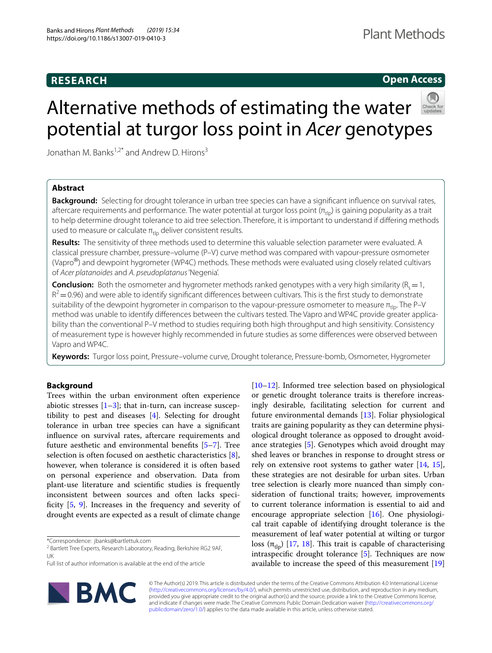# **RESEARCH**

# **Open Access**



# Alternative methods of estimating the water potential at turgor loss point in *Acer* genotypes

Jonathan M. Banks<sup>1,2\*</sup> and Andrew D. Hirons<sup>3</sup>

# **Abstract**

**Background:** Selecting for drought tolerance in urban tree species can have a signifcant infuence on survival rates, aftercare requirements and performance. The water potential at turgor loss point  $(\pi_{\text{th}})$  is gaining popularity as a trait to help determine drought tolerance to aid tree selection. Therefore, it is important to understand if difering methods used to measure or calculate  $\pi_{\text{th}}$  deliver consistent results.

**Results:** The sensitivity of three methods used to determine this valuable selection parameter were evaluated. A classical pressure chamber, pressure–volume (P–V) curve method was compared with vapour-pressure osmometer (Vapro<sup>®</sup>) and dewpoint hygrometer (WP4C) methods. These methods were evaluated using closely related cultivars of *Acer platanoides* and *A. pseudoplatanus* 'Negenia'.

**Conclusion:** Both the osmometer and hygrometer methods ranked genotypes with a very high similarity ( $R_s = 1$ ,  $R^2$  = 0.96) and were able to identify significant differences between cultivars. This is the first study to demonstrate suitability of the dewpoint hygrometer in comparison to the vapour-pressure osmometer to measure  $\pi_{\text{th}}$ . The P–V method was unable to identify diferences between the cultivars tested. The Vapro and WP4C provide greater applicability than the conventional P–V method to studies requiring both high throughput and high sensitivity. Consistency of measurement type is however highly recommended in future studies as some diferences were observed between Vapro and WP4C.

**Keywords:** Turgor loss point, Pressure–volume curve, Drought tolerance, Pressure-bomb, Osmometer, Hygrometer

## **Background**

Trees within the urban environment often experience abiotic stresses  $[1-3]$  $[1-3]$ ; that in-turn, can increase susceptibility to pest and diseases [\[4\]](#page-4-2). Selecting for drought tolerance in urban tree species can have a signifcant infuence on survival rates, aftercare requirements and future aesthetic and environmental benefts [[5–](#page-4-3)[7\]](#page-4-4). Tree selection is often focused on aesthetic characteristics [\[8](#page-4-5)], however, when tolerance is considered it is often based on personal experience and observation. Data from plant-use literature and scientifc studies is frequently inconsistent between sources and often lacks specificity  $[5, 9]$  $[5, 9]$  $[5, 9]$ . Increases in the frequency and severity of drought events are expected as a result of climate change

\*Correspondence: jbanks@bartlettuk.com

Full list of author information is available at the end of the article



[[10–](#page-4-7)[12\]](#page-4-8). Informed tree selection based on physiological or genetic drought tolerance traits is therefore increasingly desirable, facilitating selection for current and future environmental demands [[13\]](#page-4-9). Foliar physiological traits are gaining popularity as they can determine physiological drought tolerance as opposed to drought avoidance strategies [[5\]](#page-4-3). Genotypes which avoid drought may shed leaves or branches in response to drought stress or rely on extensive root systems to gather water  $[14, 15]$  $[14, 15]$  $[14, 15]$  $[14, 15]$  $[14, 15]$ , these strategies are not desirable for urban sites. Urban tree selection is clearly more nuanced than simply consideration of functional traits; however, improvements to current tolerance information is essential to aid and encourage appropriate selection [[16\]](#page-4-12). One physiological trait capable of identifying drought tolerance is the measurement of leaf water potential at wilting or turgor loss (π<sub>tlp</sub>) [[17,](#page-5-0) [18](#page-5-1)]. This trait is capable of characterising intraspecifc drought tolerance [\[5\]](#page-4-3). Techniques are now available to increase the speed of this measurement [[19](#page-5-2)]

© The Author(s) 2019. This article is distributed under the terms of the Creative Commons Attribution 4.0 International License [\(http://creativecommons.org/licenses/by/4.0/\)](http://creativecommons.org/licenses/by/4.0/), which permits unrestricted use, distribution, and reproduction in any medium, provided you give appropriate credit to the original author(s) and the source, provide a link to the Creative Commons license, and indicate if changes were made. The Creative Commons Public Domain Dedication waiver ([http://creativecommons.org/](http://creativecommons.org/publicdomain/zero/1.0/) [publicdomain/zero/1.0/](http://creativecommons.org/publicdomain/zero/1.0/)) applies to the data made available in this article, unless otherwise stated.

<sup>&</sup>lt;sup>2</sup> Bartlett Tree Experts, Research Laboratory, Reading, Berkshire RG2 9AF, UK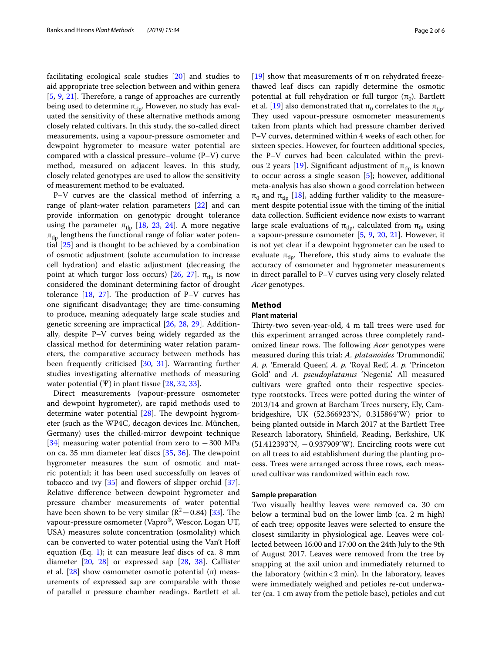facilitating ecological scale studies [\[20](#page-5-3)] and studies to aid appropriate tree selection between and within genera  $[5, 9, 21]$  $[5, 9, 21]$  $[5, 9, 21]$  $[5, 9, 21]$  $[5, 9, 21]$  $[5, 9, 21]$  $[5, 9, 21]$ . Therefore, a range of approaches are currently being used to determine  $\pi_{\text{th}}$ . However, no study has evaluated the sensitivity of these alternative methods among closely related cultivars. In this study, the so-called direct measurements, using a vapour-pressure osmometer and dewpoint hygrometer to measure water potential are compared with a classical pressure–volume (P–V) curve method, measured on adjacent leaves. In this study, closely related genotypes are used to allow the sensitivity of measurement method to be evaluated.

P–V curves are the classical method of inferring a range of plant-water relation parameters [[22](#page-5-5)] and can provide information on genotypic drought tolerance using the parameter  $π_{\text{th}}$  [\[18](#page-5-1), [23,](#page-5-6) [24\]](#page-5-7). A more negative  $\pi_{\text{th}}$  lengthens the functional range of foliar water potential [[25\]](#page-5-8) and is thought to be achieved by a combination of osmotic adjustment (solute accumulation to increase cell hydration) and elastic adjustment (decreasing the point at which turgor loss occurs) [[26](#page-5-9), [27\]](#page-5-10).  $π_{\text{th}}$  is now considered the dominant determining factor of drought tolerance  $[18, 27]$  $[18, 27]$  $[18, 27]$  $[18, 27]$ . The production of P–V curves has one signifcant disadvantage; they are time-consuming to produce, meaning adequately large scale studies and genetic screening are impractical [[26,](#page-5-9) [28](#page-5-11), [29\]](#page-5-12). Additionally, despite P–V curves being widely regarded as the classical method for determining water relation parameters, the comparative accuracy between methods has been frequently criticised [\[30,](#page-5-13) [31\]](#page-5-14). Warranting further studies investigating alternative methods of measuring water potential  $(\Psi)$  in plant tissue [\[28,](#page-5-11) [32](#page-5-15), [33\]](#page-5-16).

Direct measurements (vapour-pressure osmometer and dewpoint hygrometer), are rapid methods used to determine water potential  $[28]$  $[28]$  $[28]$ . The dewpoint hygrometer (such as the WP4C, decagon devices Inc. München, Germany) uses the chilled-mirror dewpoint technique [[34\]](#page-5-17) measuring water potential from zero to −300 MPa on ca. 35 mm diameter leaf discs  $[35, 36]$  $[35, 36]$  $[35, 36]$  $[35, 36]$ . The dewpoint hygrometer measures the sum of osmotic and matric potential; it has been used successfully on leaves of tobacco and ivy  $[35]$  $[35]$  and flowers of slipper orchid  $[37]$  $[37]$ . Relative diference between dewpoint hygrometer and pressure chamber measurements of water potential have been shown to be very similar  $(R^2=0.84)$  [[33\]](#page-5-16). The vapour-pressure osmometer (Vapro®, Wescor, Logan UT, USA) measures solute concentration (osmolality) which can be converted to water potential using the Van't Hof equation  $(Eq. 1)$  $(Eq. 1)$  $(Eq. 1)$ ; it can measure leaf discs of ca. 8 mm diameter [[20](#page-5-3), [28\]](#page-5-11) or expressed sap [\[28](#page-5-11), [38\]](#page-5-21). Callister et al.  $[28]$  $[28]$  $[28]$  show osmometer osmotic potential (π) measurements of expressed sap are comparable with those of parallel π pressure chamber readings. Bartlett et al. [[19\]](#page-5-2) show that measurements of π on rehydrated freezethawed leaf discs can rapidly determine the osmotic potential at full rehydration or full turgor  $(π<sub>0</sub>)$ . Bartlett et al. [\[19\]](#page-5-2) also demonstrated that  $\pi_0$  correlates to the  $\pi_{\text{th}}$ . They used vapour-pressure osmometer measurements taken from plants which had pressure chamber derived P–V curves, determined within 4 weeks of each other, for sixteen species. However, for fourteen additional species, the P–V curves had been calculated within the previ-ous 2 years [\[19\]](#page-5-2). Significant adjustment of  $π_{\text{th}}$  is known to occur across a single season [\[5](#page-4-3)]; however, additional meta-analysis has also shown a good correlation between  $π<sub>0</sub>$  and  $π<sub>thp</sub>$  [\[18\]](#page-5-1), adding further validity to the measurement despite potential issue with the timing of the initial data collection. Sufficient evidence now exists to warrant large scale evaluations of  $\pi_{\text{th}}$ , calculated from  $\pi_0$ , using a vapour-pressure osmometer [[5,](#page-4-3) [9](#page-4-6), [20,](#page-5-3) [21](#page-5-4)]. However, it is not yet clear if a dewpoint hygrometer can be used to evaluate  $\pi_{\text{th}}$ . Therefore, this study aims to evaluate the accuracy of osmometer and hygrometer measurements in direct parallel to P–V curves using very closely related *Acer* genotypes.

## **Method**

## **Plant material**

Thirty-two seven-year-old, 4 m tall trees were used for this experiment arranged across three completely randomized linear rows. The following *Acer* genotypes were measured during this trial: *A. platanoides* 'Drummondii', *A. p.* 'Emerald Queen', *A. p.* 'Royal Red', *A. p.* 'Princeton Gold' and *A. pseudoplatanus* 'Negenia'. All measured cultivars were grafted onto their respective speciestype rootstocks. Trees were potted during the winter of 2013/14 and grown at Barcham Trees nursery, Ely, Cambridgeshire, UK (52.366923°N, 0.315864°W) prior to being planted outside in March 2017 at the Bartlett Tree Research laboratory, Shinfeld, Reading, Berkshire, UK (51.412393°N, −0.937909°W). Encircling roots were cut on all trees to aid establishment during the planting process. Trees were arranged across three rows, each measured cultivar was randomized within each row.

## **Sample preparation**

Two visually healthy leaves were removed ca. 30 cm below a terminal bud on the lower limb (ca. 2 m high) of each tree; opposite leaves were selected to ensure the closest similarity in physiological age. Leaves were collected between 16:00 and 17:00 on the 24th July to the 9th of August 2017. Leaves were removed from the tree by snapping at the axil union and immediately returned to the laboratory (within  $<$  2 min). In the laboratory, leaves were immediately weighed and petioles re-cut underwater (ca. 1 cm away from the petiole base), petioles and cut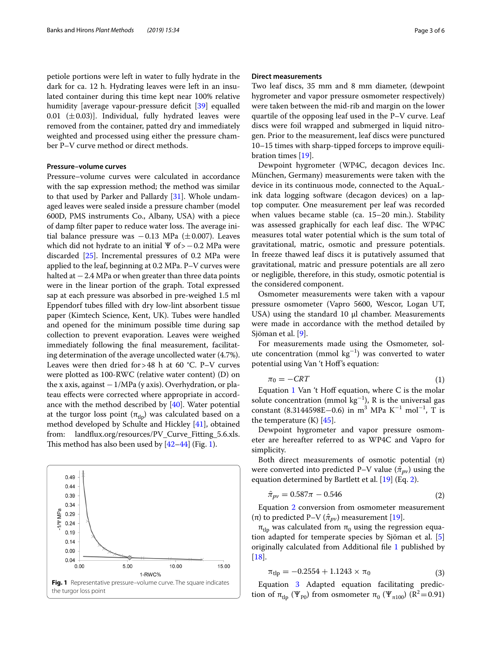petiole portions were left in water to fully hydrate in the dark for ca. 12 h. Hydrating leaves were left in an insulated container during this time kept near 100% relative humidity [average vapour-pressure deficit [[39\]](#page-5-22) equalled 0.01 ( $\pm$ 0.03)]. Individual, fully hydrated leaves were removed from the container, patted dry and immediately weighted and processed using either the pressure chamber P–V curve method or direct methods.

### **Pressure–volume curves**

Pressure–volume curves were calculated in accordance with the sap expression method; the method was similar to that used by Parker and Pallardy [[31](#page-5-14)]. Whole undamaged leaves were sealed inside a pressure chamber (model 600D, PMS instruments Co., Albany, USA) with a piece of damp filter paper to reduce water loss. The average initial balance pressure was −0.13 MPa (±0.007). Leaves which did not hydrate to an initial Ψ of>-0.2 MPa were discarded [\[25](#page-5-8)]. Incremental pressures of 0.2 MPa were applied to the leaf, beginning at 0.2 MPa. P–V curves were halted at  $-2.4$  MPa or when greater than three data points were in the linear portion of the graph. Total expressed sap at each pressure was absorbed in pre-weighed 1.5 ml Eppendorf tubes flled with dry low-lint absorbent tissue paper (Kimtech Science, Kent, UK). Tubes were handled and opened for the minimum possible time during sap collection to prevent evaporation. Leaves were weighed immediately following the fnal measurement, facilitating determination of the average uncollected water (4.7%). Leaves were then dried for  $>48$  h at 60 °C. P–V curves were plotted as 100-RWC (relative water content) (D) on the x axis, against  $-1/MPa$  (y axis). Overhydration, or plateau effects were corrected where appropriate in accordance with the method described by [\[40](#page-5-23)]. Water potential at the turgor loss point  $(\pi_{\text{th}})$  was calculated based on a method developed by Schulte and Hickley [[41](#page-5-24)], obtained from: landfux.org/resources/PV\_Curve\_Fitting\_5.6.xls. This method has also been used by  $[42-44]$  $[42-44]$  $[42-44]$  (Fig. [1\)](#page-2-1).

<span id="page-2-1"></span>

## **Direct measurements**

Two leaf discs, 35 mm and 8 mm diameter, (dewpoint hygrometer and vapor pressure osmometer respectively) were taken between the mid-rib and margin on the lower quartile of the opposing leaf used in the P–V curve. Leaf discs were foil wrapped and submerged in liquid nitrogen. Prior to the measurement, leaf discs were punctured 10–15 times with sharp-tipped forceps to improve equilibration times [[19\]](#page-5-2).

Dewpoint hygrometer (WP4C, decagon devices Inc. München, Germany) measurements were taken with the device in its continuous mode, connected to the AquaLink data logging software (decagon devices) on a laptop computer. One measurement per leaf was recorded when values became stable (ca. 15–20 min.). Stability was assessed graphically for each leaf disc. The WP4C measures total water potential which is the sum total of gravitational, matric, osmotic and pressure potentials. In freeze thawed leaf discs it is putatively assumed that gravitational, matric and pressure potentials are all zero or negligible, therefore, in this study, osmotic potential is the considered component.

Osmometer measurements were taken with a vapour pressure osmometer (Vapro 5600, Wescor, Logan UT, USA) using the standard  $10 \mu l$  chamber. Measurements were made in accordance with the method detailed by Sjöman et al. [[9\]](#page-4-6).

For measurements made using the Osmometer, solute concentration (mmol  $kg^{-1}$ ) was converted to water potential using Van 't Hof's equation:

<span id="page-2-0"></span>
$$
\pi_0 = -CRT\tag{1}
$$

Equation  $1$  Van 't Hoff equation, where C is the molar solute concentration (mmol  $kg^{-1}$ ), R is the universal gas constant (8.3144598E–0.6) in m<sup>3</sup> MPa K<sup>-1</sup> mol<sup>-1</sup>, T is the temperature  $(K)$  [\[45](#page-5-27)].

Dewpoint hygrometer and vapor pressure osmometer are hereafter referred to as WP4C and Vapro for simplicity.

Both direct measurements of osmotic potential  $(\pi)$ were converted into predicted P–V value  $(\hat{\pi}_{pv})$  using the equation determined by Bartlett et al. [[19\]](#page-5-2) (Eq. [2\)](#page-2-2).

<span id="page-2-2"></span>
$$
\hat{\pi}_{pv} = 0.587\pi - 0.546\tag{2}
$$

Equation [2](#page-2-2) conversion from osmometer measurement (π) to predicted P–V ( $\hat{\pi}_{pv}$ ) measurement [[19\]](#page-5-2).

 $π<sub>th</sub>$  was calculated from  $π<sub>0</sub>$  using the regression equation adapted for temperate species by Sjöman et al. [\[5](#page-4-3)] originally calculated from Additional fle [1](#page-4-13) published by [[18\]](#page-5-1).

<span id="page-2-3"></span>
$$
\pi_{\rm{tlp}} = -0.2554 + 1.1243 \times \pi_0 \tag{3}
$$

Equation [3](#page-2-3) Adapted equation facilitating prediction of  $\pi_{\text{th}}$  (Ψ<sub>P0</sub>) from osmometer  $\pi_0$  (Ψ<sub>π100</sub>) (R<sup>2</sup>=0.91)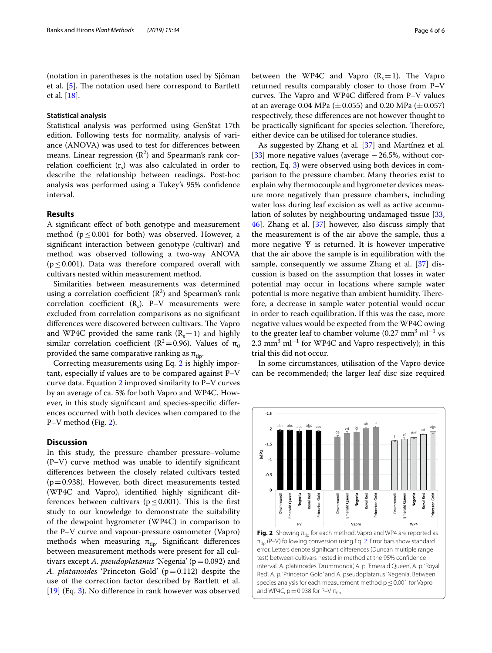(notation in parentheses is the notation used by Sjöman et al. [[5](#page-4-3)]. The notation used here correspond to Bartlett et al. [[18](#page-5-1)].

## **Statistical analysis**

Statistical analysis was performed using GenStat 17th edition. Following tests for normality, analysis of variance (ANOVA) was used to test for diferences between means. Linear regression  $(R^2)$  and Spearman's rank correlation coefficient  $(r<sub>s</sub>)$  was also calculated in order to describe the relationship between readings. Post-hoc analysis was performed using a Tukey's 95% confdence interval.

## **Results**

A signifcant efect of both genotype and measurement method ( $p \leq 0.001$  for both) was observed. However, a signifcant interaction between genotype (cultivar) and method was observed following a two-way ANOVA ( $p \leq 0.001$ ). Data was therefore compared overall with cultivars nested within measurement method.

Similarities between measurements was determined using a correlation coefficient  $(R^2)$  and Spearman's rank correlation coefficient  $(R_s)$ . P–V measurements were excluded from correlation comparisons as no signifcant differences were discovered between cultivars. The Vapro and WP4C provided the same rank  $(R_s=1)$  and highly similar correlation coefficient ( $R^2$ =0.96). Values of  $\pi_0$ provided the same comparative ranking as  $\pi_{\text{th}}$ .

Correcting measurements using Eq. [2](#page-2-2) is highly important, especially if values are to be compared against P–V curve data. Equation [2](#page-2-2) improved similarity to P–V curves by an average of ca. 5% for both Vapro and WP4C. However, in this study signifcant and species-specifc diferences occurred with both devices when compared to the P–V method (Fig. [2](#page-3-0)).

## **Discussion**

In this study, the pressure chamber pressure–volume (P–V) curve method was unable to identify signifcant diferences between the closely related cultivars tested  $(p=0.938)$ . However, both direct measurements tested (WP4C and Vapro), identifed highly signifcant differences between cultivars ( $p \leq 0.001$ ). This is the first study to our knowledge to demonstrate the suitability of the dewpoint hygrometer (WP4C) in comparison to the P–V curve and vapour-pressure osmometer (Vapro) methods when measuring  $\pi_{\text{th}}$ . Significant differences between measurement methods were present for all cultivars except *A. pseudoplatanus* 'Negenia' (p=0.092) and *A. platanoides* 'Princeton Gold' (p=0.112) despite the use of the correction factor described by Bartlett et al. [[19\]](#page-5-2) (Eq. [3](#page-2-3)). No diference in rank however was observed between the WP4C and Vapro  $(R_c=1)$ . The Vapro returned results comparably closer to those from P–V curves. The Vapro and WP4C differed from P-V values at an average 0.04 MPa ( $\pm$ 0.055) and 0.20 MPa ( $\pm$ 0.057) respectively, these diferences are not however thought to be practically significant for species selection. Therefore, either device can be utilised for tolerance studies.

As suggested by Zhang et al. [\[37](#page-5-20)] and Martínez et al. [[33\]](#page-5-16) more negative values (average  $-26.5$ %, without correction, Eq. [3\)](#page-2-3) were observed using both devices in comparison to the pressure chamber. Many theories exist to explain why thermocouple and hygrometer devices measure more negatively than pressure chambers, including water loss during leaf excision as well as active accumulation of solutes by neighbouring undamaged tissue [[33](#page-5-16), [46\]](#page-5-28). Zhang et al. [[37\]](#page-5-20) however, also discuss simply that the measurement is of the air above the sample, thus a more negative Ѱ is returned. It is however imperative that the air above the sample is in equilibration with the sample, consequently we assume Zhang et al. [\[37\]](#page-5-20) discussion is based on the assumption that losses in water potential may occur in locations where sample water potential is more negative than ambient humidity. Therefore, a decrease in sample water potential would occur in order to reach equilibration. If this was the case, more negative values would be expected from the WP4C owing to the greater leaf to chamber volume  $(0.27 \text{ mm}^3 \text{ ml}^{-1} \text{ vs }$ 2.3 mm<sup>3</sup> ml<sup>-1</sup> for WP4C and Vapro respectively); in this trial this did not occur.

In some circumstances, utilisation of the Vapro device can be recommended; the larger leaf disc size required



<span id="page-3-0"></span>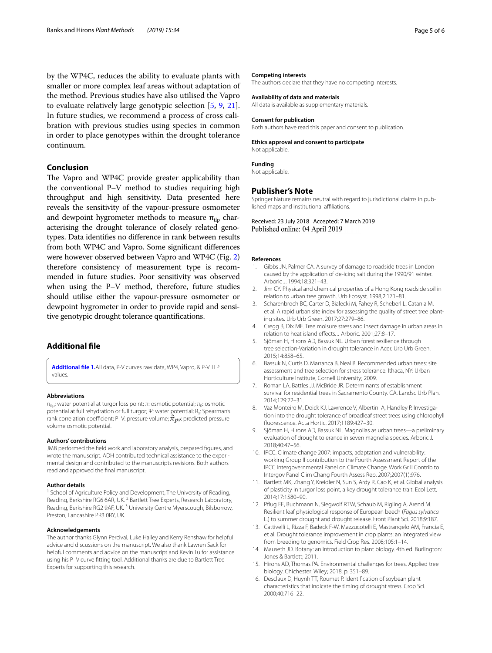by the WP4C, reduces the ability to evaluate plants with smaller or more complex leaf areas without adaptation of the method. Previous studies have also utilised the Vapro to evaluate relatively large genotypic selection [\[5](#page-4-3), [9,](#page-4-6) [21](#page-5-4)]. In future studies, we recommend a process of cross calibration with previous studies using species in common in order to place genotypes within the drought tolerance continuum.

## **Conclusion**

The Vapro and WP4C provide greater applicability than the conventional P–V method to studies requiring high throughput and high sensitivity. Data presented here reveals the sensitivity of the vapour-pressure osmometer and dewpoint hygrometer methods to measure  $\pi_{\text{th}}$  characterising the drought tolerance of closely related genotypes. Data identifes no diference in rank between results from both WP4C and Vapro. Some signifcant diferences were however observed between Vapro and WP4C (Fig. [2](#page-3-0)) therefore consistency of measurement type is recommended in future studies. Poor sensitivity was observed when using the P–V method, therefore, future studies should utilise either the vapour-pressure osmometer or dewpoint hygrometer in order to provide rapid and sensitive genotypic drought tolerance quantifcations.

## **Additional fle**

<span id="page-4-13"></span>**[Additional fle 1.](https://doi.org/10.1186/s13007-019-0410-3)**All data, P-V curves raw data, WP4, Vapro, & P-V TLP values.

#### **Abbreviations**

 $π_{\text{tlo}}$ : water potential at turgor loss point; π: osmotic potential;  $π_{0}$ : osmotic potential at full rehydration or full turgor; Ψ: water potential; R<sub>s</sub>: Spearman's rank correlation coefficient; P–V: pressure volume;  $\hat{\pi}_{pv}$ : predicted pressure– volume osmotic potential.

#### **Authors' contributions**

JMB performed the feld work and laboratory analysis, prepared fgures, and wrote the manuscript. ADH contributed technical assistance to the experimental design and contributed to the manuscripts revisions. Both authors read and approved the fnal manuscript.

#### **Author details**

<sup>1</sup> School of Agriculture Policy and Development, The University of Reading, Reading, Berkshire RG6 6AR, UK.<sup>2</sup> Bartlett Tree Experts, Research Laboratory, Reading, Berkshire RG2 9AF, UK. 3 University Centre Myerscough, Bilsborrow, Preston, Lancashire PR3 0RY, UK.

#### **Acknowledgements**

The author thanks Glynn Percival, Luke Hailey and Kerry Renshaw for helpful advice and discussions on the manuscript. We also thank Lawren Sack for helpful comments and advice on the manuscript and Kevin Tu for assistance using his P–V curve ftting tool. Additional thanks are due to Bartlett Tree Experts for supporting this research.

#### **Competing interests**

The authors declare that they have no competing interests.

#### **Availability of data and materials**

All data is available as supplementary materials.

#### **Consent for publication**

Both authors have read this paper and consent to publication.

#### **Ethics approval and consent to participate**

Not applicable.

#### **Funding**

Not applicable.

#### **Publisher's Note**

Springer Nature remains neutral with regard to jurisdictional claims in published maps and institutional affiliations.

Received: 23 July 2018 Accepted: 7 March 2019

#### **References**

- <span id="page-4-0"></span>1. Gibbs JN, Palmer CA. A survey of damage to roadside trees in London caused by the application of de-icing salt during the 1990/91 winter. Arboric J. 1994;18:321–43.
- 2. Jim CY. Physical and chemical properties of a Hong Kong roadside soil in relation to urban tree growth. Urb Ecosyst. 1998;2:171–81.
- <span id="page-4-1"></span>3. Scharenbroch BC, Carter D, Bialecki M, Fahey R, Scheberl L, Catania M, et al. A rapid urban site index for assessing the quality of street tree planting sites. Urb Urb Green. 2017;27:279–86.
- <span id="page-4-2"></span>4. Cregg B, Dix ME. Tree moisure stress and insect damage in urban areas in relation to heat island efects. J Arboric. 2001;27:8–17.
- <span id="page-4-3"></span>5. Sjöman H, Hirons AD, Bassuk NL. Urban forest resilience through tree selection-Variation in drought tolerance in Acer. Urb Urb Green. 2015;14:858–65.
- 6. Bassuk N, Curtis D, Marranca B, Neal B. Recommended urban trees: site assessment and tree selection for stress tolerance. Ithaca, NY: Urban Horticulture Institute, Cornell University; 2009.
- <span id="page-4-4"></span>7. Roman LA, Battles JJ, McBride JR. Determinants of establishment survival for residential trees in Sacramento County. CA. Landsc Urb Plan. 2014;129:22–31.
- <span id="page-4-5"></span>8. Vaz Monteiro M, Doick KJ, Lawrence V, Albertini A, Handley P. Investigation into the drought tolerance of broadleaf street trees using chlorophyll fuorescence. Acta Hortic. 2017;1189:427–30.
- <span id="page-4-6"></span>9. Sjöman H, Hirons AD, Bassuk NL. Magnolias as urban trees—a preliminary evaluation of drought tolerance in seven magnolia species. Arboric J. 2018;40:47–56.
- <span id="page-4-7"></span>10. IPCC. Climate change 2007: impacts, adaptation and vulnerability: working Group II contribution to the Fourth Assessment Report of the IPCC Intergovernmental Panel on Climate Change. Work Gr II Contrib to Intergov Panel Clim Chang Fourth Assess Rep. 2007;2007(1):976.
- 11. Bartlett MK, Zhang Y, Kreidler N, Sun S, Ardy R, Cao K, et al. Global analysis of plasticity in turgor loss point, a key drought tolerance trait. Ecol Lett. 2014;17:1580–90.
- <span id="page-4-8"></span>12. Pfug EE, Buchmann N, Siegwolf RTW, Schaub M, Rigling A, Arend M. Resilient leaf physiological response of European beech (*Fagus sylvatica* L.) to summer drought and drought release. Front Plant Sci. 2018;9:187.
- <span id="page-4-9"></span>13. Cattivelli L, Rizza F, Badeck F-W, Mazzucotelli E, Mastrangelo AM, Francia E, et al. Drought tolerance improvement in crop plants: an integrated view from breeding to genomics. Field Crop Res. 2008;105:1–14.
- <span id="page-4-10"></span>14. Mauseth JD. Botany: an introduction to plant biology. 4th ed. Burlington: Jones & Bartlett; 2011.
- <span id="page-4-11"></span>15. Hirons AD, Thomas PA. Environmental challenges for trees. Applied tree biology. Chichester: Wiley; 2018. p. 351–89.
- <span id="page-4-12"></span>16. Desclaux D, Huynh TT, Roumet P. Identifcation of soybean plant characteristics that indicate the timing of drought stress. Crop Sci. 2000;40:716–22.